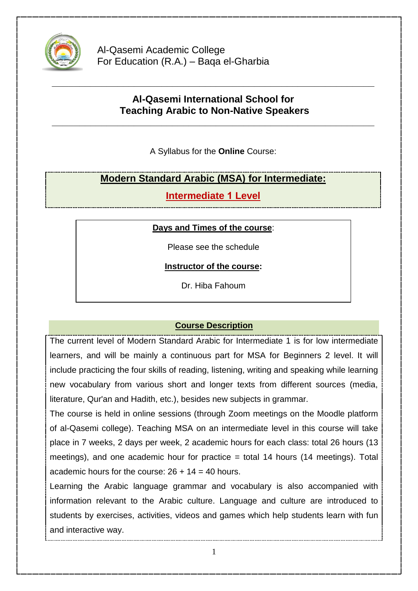

Al-Qasemi Academic College For Education (R.A.) – Baqa el-Gharbia

# **Al-Qasemi International School for Teaching Arabic to Non-Native Speakers**

**\_\_\_\_\_\_\_\_\_\_\_\_\_\_\_\_\_\_\_\_\_\_\_\_\_\_\_\_\_\_\_\_\_\_\_\_\_\_\_\_\_\_\_\_\_\_\_\_\_\_\_\_\_\_\_\_\_\_\_**

**\_\_\_\_\_\_\_\_\_\_\_\_\_\_\_\_\_\_\_\_\_\_\_\_\_\_\_\_\_\_\_\_\_\_\_\_\_\_\_\_\_\_\_\_\_\_\_\_\_\_\_\_\_\_\_\_\_\_\_**

A Syllabus for the **Online** Course:

# **Modern Standard Arabic (MSA) for Intermediate:**

**Intermediate 1 Level** 

### **Days and Times of the course**:

Please see the schedule

**Instructor of the course:**

Dr. Hiba Fahoum

## **Course Description**

The current level of Modern Standard Arabic for Intermediate 1 is for low intermediate learners, and will be mainly a continuous part for MSA for Beginners 2 level. It will include practicing the four skills of reading, listening, writing and speaking while learning new vocabulary from various short and longer texts from different sources (media, literature, Qur'an and Hadith, etc.), besides new subjects in grammar.

The course is held in online sessions (through Zoom meetings on the Moodle platform of al-Qasemi college). Teaching MSA on an intermediate level in this course will take place in 7 weeks, 2 days per week, 2 academic hours for each class: total 26 hours (13 meetings), and one academic hour for practice = total 14 hours (14 meetings). Total academic hours for the course:  $26 + 14 = 40$  hours.

Learning the Arabic language grammar and vocabulary is also accompanied with information relevant to the Arabic culture. Language and culture are introduced to students by exercises, activities, videos and games which help students learn with fun and interactive way.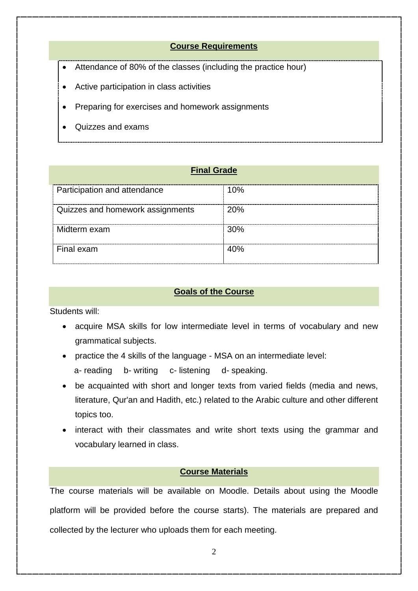#### **Course Requirements**

- Attendance of 80% of the classes (including the practice hour)
- Active participation in class activities
- Preparing for exercises and homework assignments
- Quizzes and exams

#### **Final Grade**

| Participation and attendance     | 10%        |
|----------------------------------|------------|
|                                  |            |
| Quizzes and homework assignments | <b>20%</b> |
| Midterm exam                     | 30%        |
| Final exam                       | 40%        |

#### **Goals of the Course**

Students will:

- acquire MSA skills for low intermediate level in terms of vocabulary and new grammatical subjects.
- practice the 4 skills of the language MSA on an intermediate level:
	- a- reading b- writing c- listening d- speaking.
- be acquainted with short and longer texts from varied fields (media and news, literature, Qur'an and Hadith, etc.) related to the Arabic culture and other different topics too.
- interact with their classmates and write short texts using the grammar and vocabulary learned in class.

#### **Course Materials**

The course materials will be available on Moodle. Details about using the Moodle platform will be provided before the course starts). The materials are prepared and collected by the lecturer who uploads them for each meeting.